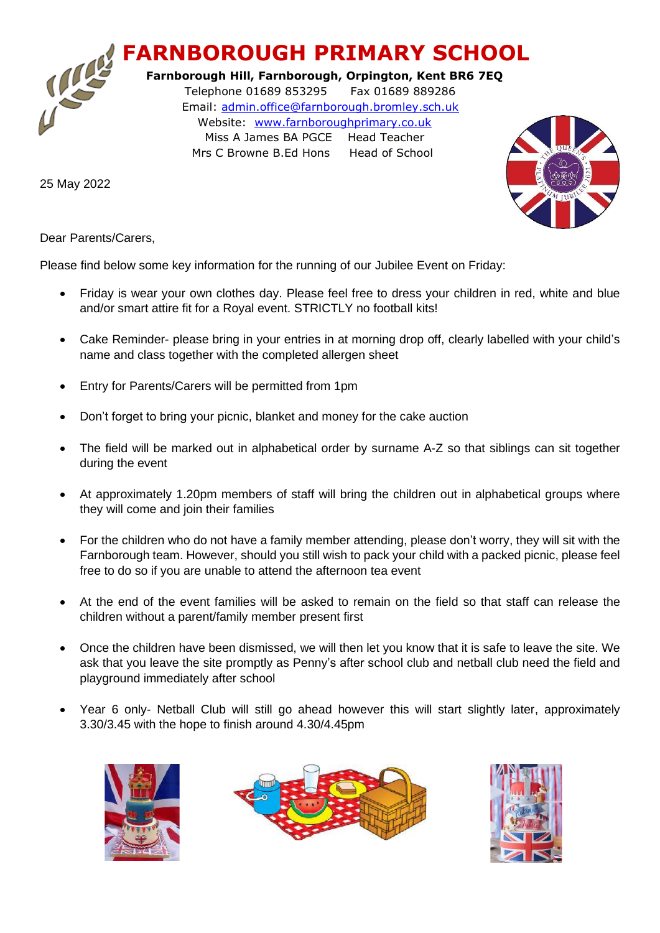## **FARNBOROUGH PRIMARY SCHOOL**

 **Farnborough Hill, Farnborough, Orpington, Kent BR6 7EQ** Telephone 01689 853295 Fax 01689 889286 Email: [admin.office@farnborough.bromley.sch.uk](mailto:admin.office@farnborough.bromley.sch.uk) Website: [www.farnboroughprimary.co.uk](http://www.farnboroughprimary.co.uk/) Miss A James BA PGCE Head Teacher Mrs C Browne B.Ed Hons Head of School

25 May 2022



Dear Parents/Carers,

Please find below some key information for the running of our Jubilee Event on Friday:

- Friday is wear your own clothes day. Please feel free to dress your children in red, white and blue and/or smart attire fit for a Royal event. STRICTLY no football kits!
- Cake Reminder- please bring in your entries in at morning drop off, clearly labelled with your child's name and class together with the completed allergen sheet
- Entry for Parents/Carers will be permitted from 1pm
- Don't forget to bring your picnic, blanket and money for the cake auction
- The field will be marked out in alphabetical order by surname A-Z so that siblings can sit together during the event
- At approximately 1.20pm members of staff will bring the children out in alphabetical groups where they will come and join their families
- For the children who do not have a family member attending, please don't worry, they will sit with the Farnborough team. However, should you still wish to pack your child with a packed picnic, please feel free to do so if you are unable to attend the afternoon tea event
- At the end of the event families will be asked to remain on the field so that staff can release the children without a parent/family member present first
- Once the children have been dismissed, we will then let you know that it is safe to leave the site. We ask that you leave the site promptly as Penny's after school club and netball club need the field and playground immediately after school
- Year 6 only- Netball Club will still go ahead however this will start slightly later, approximately 3.30/3.45 with the hope to finish around 4.30/4.45pm